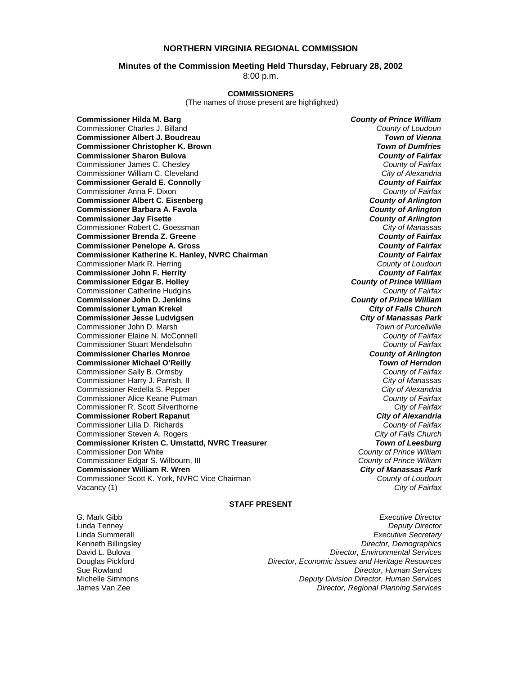## **NORTHERN VIRGINIA REGIONAL COMMISSION**

#### **Minutes of the Commission Meeting Held Thursday, February 28, 2002**

8:00 p.m.

#### **COMMISSIONERS**

(The names of those present are highlighted)

**Commissioner Hilda M. Barg** *County of Prince William* Commissioner Charles J. Billand *County of Loudoun* **Commissioner Albert J. Boudreau Commissioner Christopher K. Brown** *Town of Dumfries*  **Commissioner Sharon Bulova** *County of Fairfax* Commissioner James C. Chesley *County of Fairfax* Commissioner William C. Cleveland **Commissioner Gerald E. Connolly** *County of Fairfax* Commissioner Anna F. Dixon *County of Fairfax* **Commissioner Albert C. Eisenberg** *County of Arlington* **Commissioner Barbara A. Favola** *County of Arlington* **Commissioner Jay Fisette** *County of Arlington* Commissioner Robert C. Goessman *City of Manassas* **Commissioner Brenda Z. Greene** *County of Fairfax* **Commissioner Penelope A. Gross** *County of Fairfax* **Commissioner Katherine K. Hanley, NVRC Chairman** *County of Fairfax**County of Fairfax**County of Loudoun**County of Loudoun* Commissioner Mark R. Herring *County of Loudoun* **Commissioner John F. Herrity** *County of Fairfax* **Commissioner Edgar B. Holley** *County of Prince William* Commissioner Catherine Hudgins *County of Fairfax* **Commissioner John D. Jenkins** *County of Prince William* **Commissioner Lyman Krekel Commissioner Jesse Ludvigsen** *City of Manassas Park* Commissioner John D. Marsh Commissioner Elaine N. McConnell *County of Fairfax* Commissioner Stuart Mendelsohn *County of Fairfax* **Commissioner Charles Monroe** *County of Arlington* **Commissioner Michael O'Reilly** *Town of Herndon* Commissioner Sally B. Ormsby *County of Fairfax* Commissioner Harry J. Parrish, II *City of Manassas* Commissioner Redella S. Pepper *City of Alexandria* Commissioner Alice Keane Putman *County of Fairfax* Commissioner R. Scott Silverthorne *City of Fairfax* **Commissioner Robert Rapanut** *City of Alexandria* Commissioner Lilla D. Richards *County of Fairfax* Commissioner Steven A. Rogers *City of Falls Church* **Commissioner Kristen C. Umstattd, NVRC Treasurer** *Town of Leesburg* Commissioner Don White *County of Prince William* Commissioner Edgar S. Wilbourn, III *County of Prince William* **Commissioner William R. Wren** *City of Manassas Park* Commissioner Scott K. York, NVRC Vice Chairman Vacancy (1) *City of Fairfax*

#### **STAFF PRESENT**

G. Mark Gibb *Executive Director* Linda Tenney *Deputy Director* Linda Summerall *Executive Secretary* Kenneth Billingsley *Director, Demographics* **Director, Environmental Services** Douglas Pickford *Director, Economic Issues and Heritage Resources* Sue Rowland *Director, Human Services* Michelle Simmons *Deputy Division Director, Human Services* Director, Regional Planning Services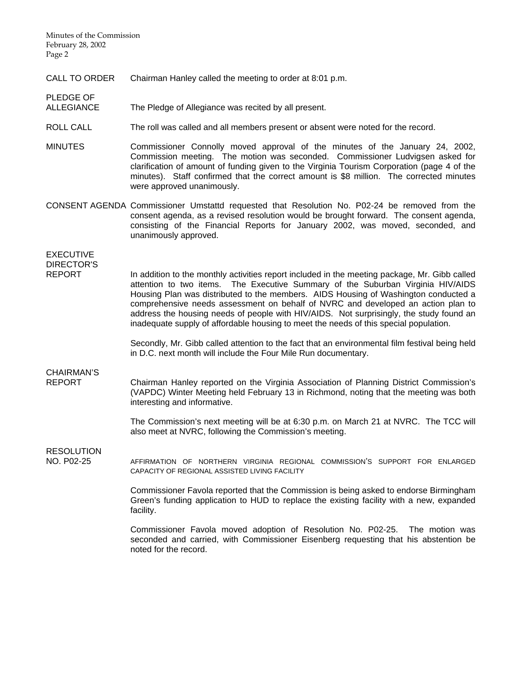Minutes of the Commission February 28, 2002 Page 2

CALL TO ORDER Chairman Hanley called the meeting to order at 8:01 p.m.

### ALLEGIANCE The Pledge of Allegiance was recited by all present.

- ROLL CALL The roll was called and all members present or absent were noted for the record.
- MINUTES Commissioner Connolly moved approval of the minutes of the January 24, 2002, Commission meeting. The motion was seconded. Commissioner Ludvigsen asked for clarification of amount of funding given to the Virginia Tourism Corporation (page 4 of the minutes). Staff confirmed that the correct amount is \$8 million. The corrected minutes were approved unanimously.
- CONSENT AGENDA Commissioner Umstattd requested that Resolution No. P02-24 be removed from the consent agenda, as a revised resolution would be brought forward. The consent agenda, consisting of the Financial Reports for January 2002, was moved, seconded, and unanimously approved.

EXECUTIVE DIRECTOR'S

PLEDGE OF

REPORT In addition to the monthly activities report included in the meeting package, Mr. Gibb called attention to two items. The Executive Summary of the Suburban Virginia HIV/AIDS Housing Plan was distributed to the members. AIDS Housing of Washington conducted a comprehensive needs assessment on behalf of NVRC and developed an action plan to address the housing needs of people with HIV/AIDS. Not surprisingly, the study found an inadequate supply of affordable housing to meet the needs of this special population.

> Secondly, Mr. Gibb called attention to the fact that an environmental film festival being held in D.C. next month will include the Four Mile Run documentary.

## CHAIRMAN'S

REPORT Chairman Hanley reported on the Virginia Association of Planning District Commission's (VAPDC) Winter Meeting held February 13 in Richmond, noting that the meeting was both interesting and informative.

> The Commission's next meeting will be at 6:30 p.m. on March 21 at NVRC. The TCC will also meet at NVRC, following the Commission's meeting.

RESOLUTION

NO. P02-25 AFFIRMATION OF NORTHERN VIRGINIA REGIONAL COMMISSION'S SUPPORT FOR ENLARGED CAPACITY OF REGIONAL ASSISTED LIVING FACILITY

> Commissioner Favola reported that the Commission is being asked to endorse Birmingham Green's funding application to HUD to replace the existing facility with a new, expanded facility.

> Commissioner Favola moved adoption of Resolution No. P02-25. The motion was seconded and carried, with Commissioner Eisenberg requesting that his abstention be noted for the record.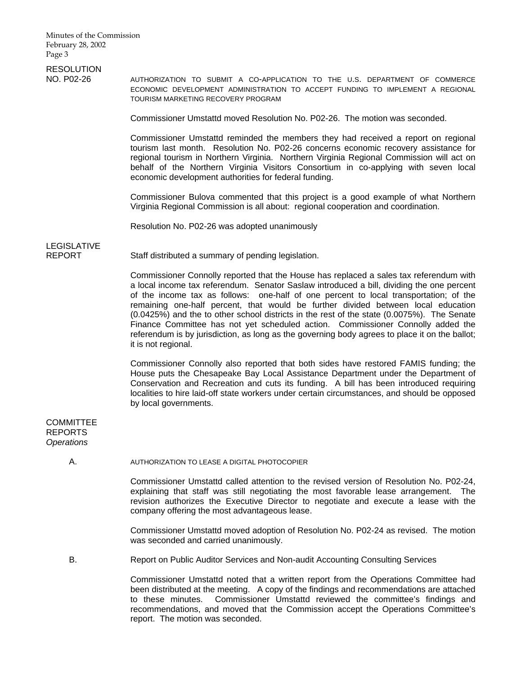# **RESOLUTION**

NO. P02-26 AUTHORIZATION TO SUBMIT A CO-APPLICATION TO THE U.S. DEPARTMENT OF COMMERCE ECONOMIC DEVELOPMENT ADMINISTRATION TO ACCEPT FUNDING TO IMPLEMENT A REGIONAL TOURISM MARKETING RECOVERY PROGRAM

Commissioner Umstattd moved Resolution No. P02-26. The motion was seconded.

 Commissioner Umstattd reminded the members they had received a report on regional tourism last month. Resolution No. P02-26 concerns economic recovery assistance for regional tourism in Northern Virginia. Northern Virginia Regional Commission will act on behalf of the Northern Virginia Visitors Consortium in co-applying with seven local economic development authorities for federal funding.

 Commissioner Bulova commented that this project is a good example of what Northern Virginia Regional Commission is all about: regional cooperation and coordination.

Resolution No. P02-26 was adopted unanimously

## LEGISLATIVE

REPORT Staff distributed a summary of pending legislation.

 Commissioner Connolly reported that the House has replaced a sales tax referendum with a local income tax referendum. Senator Saslaw introduced a bill, dividing the one percent of the income tax as follows: one-half of one percent to local transportation; of the remaining one-half percent, that would be further divided between local education (0.0425%) and the to other school districts in the rest of the state (0.0075%). The Senate Finance Committee has not yet scheduled action. Commissioner Connolly added the referendum is by jurisdiction, as long as the governing body agrees to place it on the ballot; it is not regional.

 Commissioner Connolly also reported that both sides have restored FAMIS funding; the House puts the Chesapeake Bay Local Assistance Department under the Department of Conservation and Recreation and cuts its funding. A bill has been introduced requiring localities to hire laid-off state workers under certain circumstances, and should be opposed by local governments.

### **COMMITTEE** REPORTS *Operations*

A. AUTHORIZATION TO LEASE A DIGITAL PHOTOCOPIER

 Commissioner Umstattd called attention to the revised version of Resolution No. P02-24, explaining that staff was still negotiating the most favorable lease arrangement. The revision authorizes the Executive Director to negotiate and execute a lease with the company offering the most advantageous lease.

 Commissioner Umstattd moved adoption of Resolution No. P02-24 as revised. The motion was seconded and carried unanimously.

B. Report on Public Auditor Services and Non-audit Accounting Consulting Services

Commissioner Umstattd noted that a written report from the Operations Committee had been distributed at the meeting. A copy of the findings and recommendations are attached to these minutes. Commissioner Umstattd reviewed the committee's findings and recommendations, and moved that the Commission accept the Operations Committee's report. The motion was seconded.